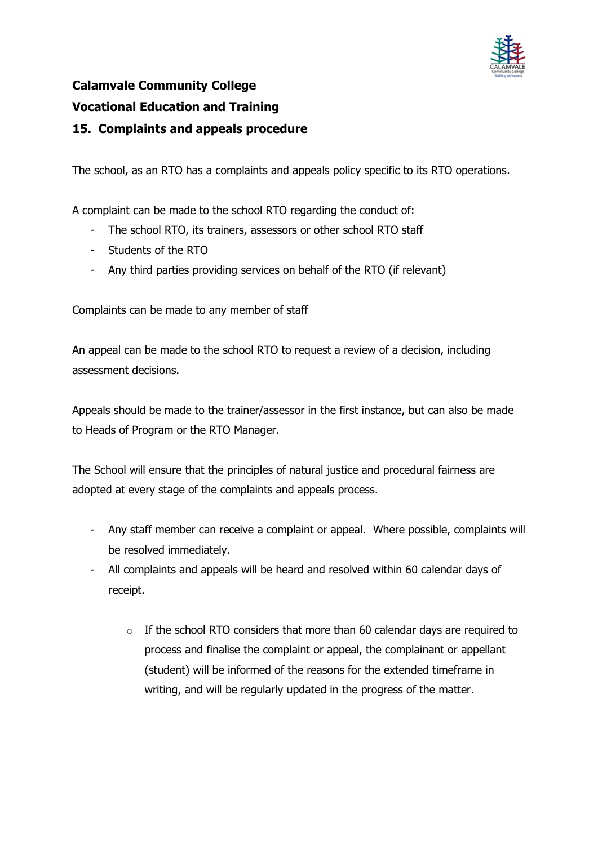

# Calamvale Community College Vocational Education and Training 15. Complaints and appeals procedure

The school, as an RTO has a complaints and appeals policy specific to its RTO operations.

A complaint can be made to the school RTO regarding the conduct of:

- The school RTO, its trainers, assessors or other school RTO staff
- Students of the RTO
- Any third parties providing services on behalf of the RTO (if relevant)

Complaints can be made to any member of staff

An appeal can be made to the school RTO to request a review of a decision, including assessment decisions.

Appeals should be made to the trainer/assessor in the first instance, but can also be made to Heads of Program or the RTO Manager.

The School will ensure that the principles of natural justice and procedural fairness are adopted at every stage of the complaints and appeals process.

- Any staff member can receive a complaint or appeal. Where possible, complaints will be resolved immediately.
- All complaints and appeals will be heard and resolved within 60 calendar days of receipt.
	- o If the school RTO considers that more than 60 calendar days are required to process and finalise the complaint or appeal, the complainant or appellant (student) will be informed of the reasons for the extended timeframe in writing, and will be regularly updated in the progress of the matter.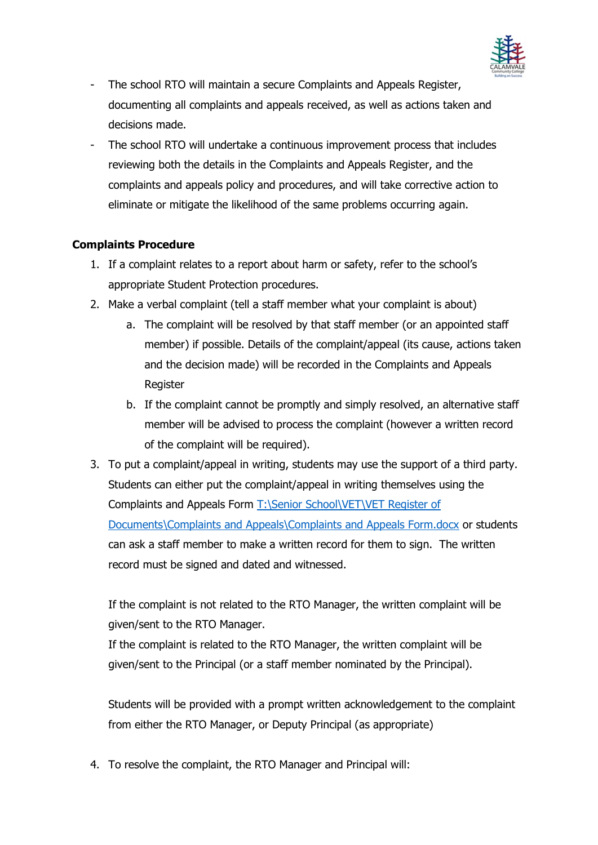

- The school RTO will maintain a secure Complaints and Appeals Register, documenting all complaints and appeals received, as well as actions taken and decisions made.
- The school RTO will undertake a continuous improvement process that includes reviewing both the details in the Complaints and Appeals Register, and the complaints and appeals policy and procedures, and will take corrective action to eliminate or mitigate the likelihood of the same problems occurring again.

#### Complaints Procedure

- 1. If a complaint relates to a report about harm or safety, refer to the school's appropriate Student Protection procedures.
- 2. Make a verbal complaint (tell a staff member what your complaint is about)
	- a. The complaint will be resolved by that staff member (or an appointed staff member) if possible. Details of the complaint/appeal (its cause, actions taken and the decision made) will be recorded in the Complaints and Appeals Register
	- b. If the complaint cannot be promptly and simply resolved, an alternative staff member will be advised to process the complaint (however a written record of the complaint will be required).
- 3. To put a complaint/appeal in writing, students may use the support of a third party. Students can either put the complaint/appeal in writing themselves using the Complaints and Appeals Form T:\Senior School\VET\VET Register of Documents\Complaints and Appeals\Complaints and Appeals Form.docx or students can ask a staff member to make a written record for them to sign. The written record must be signed and dated and witnessed.

If the complaint is not related to the RTO Manager, the written complaint will be given/sent to the RTO Manager.

If the complaint is related to the RTO Manager, the written complaint will be given/sent to the Principal (or a staff member nominated by the Principal).

Students will be provided with a prompt written acknowledgement to the complaint from either the RTO Manager, or Deputy Principal (as appropriate)

4. To resolve the complaint, the RTO Manager and Principal will: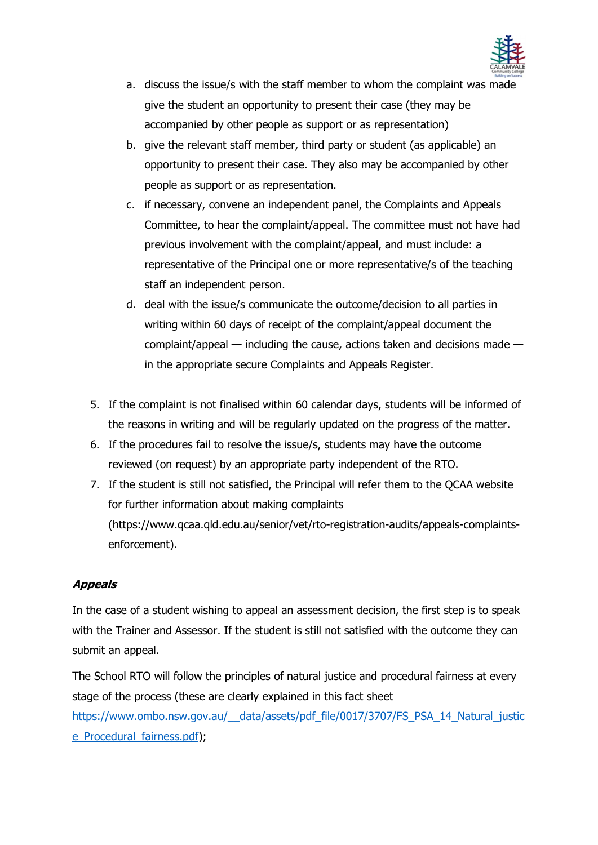

- a. discuss the issue/s with the staff member to whom the complaint was made give the student an opportunity to present their case (they may be accompanied by other people as support or as representation)
- b. give the relevant staff member, third party or student (as applicable) an opportunity to present their case. They also may be accompanied by other people as support or as representation.
- c. if necessary, convene an independent panel, the Complaints and Appeals Committee, to hear the complaint/appeal. The committee must not have had previous involvement with the complaint/appeal, and must include: a representative of the Principal one or more representative/s of the teaching staff an independent person.
- d. deal with the issue/s communicate the outcome/decision to all parties in writing within 60 days of receipt of the complaint/appeal document the complaint/appeal — including the cause, actions taken and decisions made in the appropriate secure Complaints and Appeals Register.
- 5. If the complaint is not finalised within 60 calendar days, students will be informed of the reasons in writing and will be regularly updated on the progress of the matter.
- 6. If the procedures fail to resolve the issue/s, students may have the outcome reviewed (on request) by an appropriate party independent of the RTO.
- 7. If the student is still not satisfied, the Principal will refer them to the QCAA website for further information about making complaints (https://www.qcaa.qld.edu.au/senior/vet/rto-registration-audits/appeals-complaintsenforcement).

# Appeals

In the case of a student wishing to appeal an assessment decision, the first step is to speak with the Trainer and Assessor. If the student is still not satisfied with the outcome they can submit an appeal.

The School RTO will follow the principles of natural justice and procedural fairness at every stage of the process (these are clearly explained in this fact sheet https://www.ombo.nsw.gov.au/\_\_data/assets/pdf\_file/0017/3707/FS\_PSA\_14\_Natural\_justic e\_Procedural\_fairness.pdf);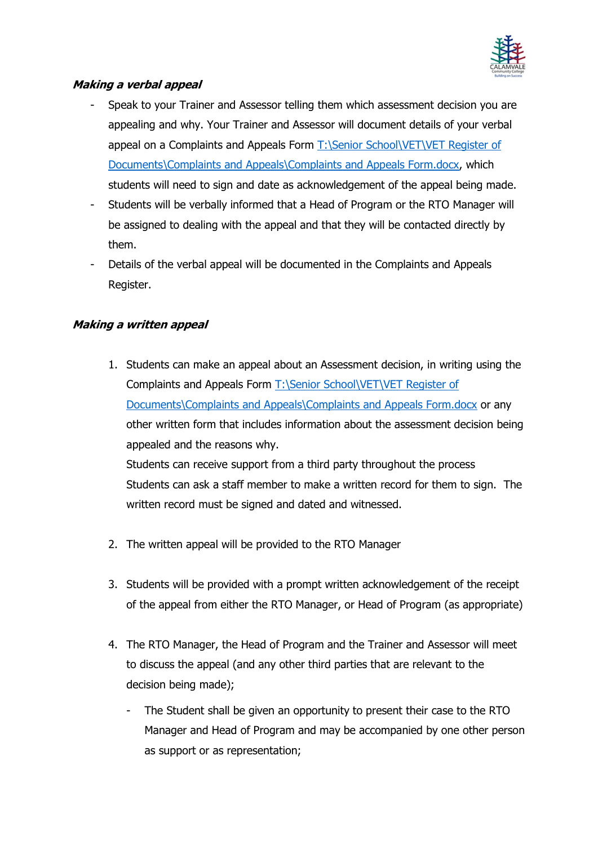

## Making a verbal appeal

- Speak to your Trainer and Assessor telling them which assessment decision you are appealing and why. Your Trainer and Assessor will document details of your verbal appeal on a Complaints and Appeals Form T:\Senior School\VET\VET Register of Documents\Complaints and Appeals\Complaints and Appeals Form.docx, which students will need to sign and date as acknowledgement of the appeal being made.
- Students will be verbally informed that a Head of Program or the RTO Manager will be assigned to dealing with the appeal and that they will be contacted directly by them.
- Details of the verbal appeal will be documented in the Complaints and Appeals Register.

## Making a written appeal

- 1. Students can make an appeal about an Assessment decision, in writing using the Complaints and Appeals Form T:\Senior School\VET\VET Register of Documents\Complaints and Appeals\Complaints and Appeals Form.docx or any other written form that includes information about the assessment decision being appealed and the reasons why. Students can receive support from a third party throughout the process Students can ask a staff member to make a written record for them to sign. The written record must be signed and dated and witnessed.
- 2. The written appeal will be provided to the RTO Manager
- 3. Students will be provided with a prompt written acknowledgement of the receipt of the appeal from either the RTO Manager, or Head of Program (as appropriate)
- 4. The RTO Manager, the Head of Program and the Trainer and Assessor will meet to discuss the appeal (and any other third parties that are relevant to the decision being made);
	- The Student shall be given an opportunity to present their case to the RTO Manager and Head of Program and may be accompanied by one other person as support or as representation;